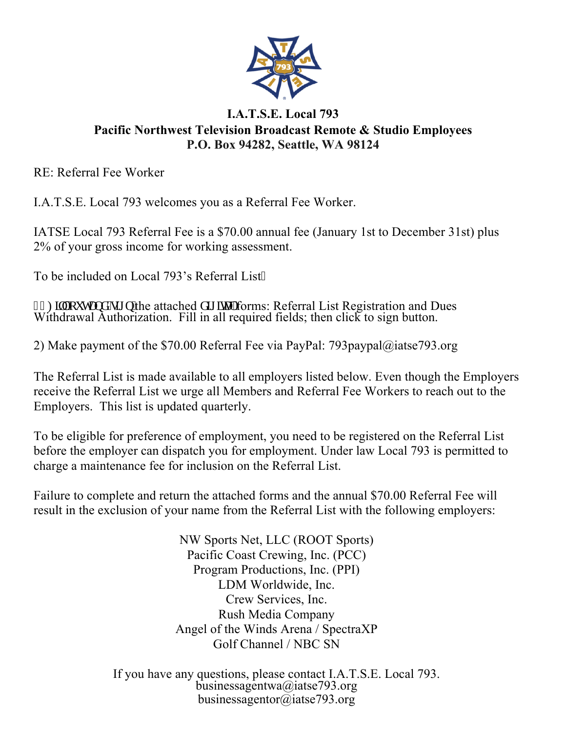

## **I.A.T.S.E. Local 793 Pacific Northwest Television Broadcast Remote & Studio Employees P.O. Box 94282, Seattle, WA 98124**

RE: Referral Fee Worker

I.A.T.S.E. Local 793 welcomes you as a Referral Fee Worker.

IATSE Local 793 Referral Fee is a \$70.00 annual fee (January 1st to December 31st) plus 2% of your gross income for working assessment.

To be included on Local 793's Referral List

3+Han'qw cpf 'uki p'the attached f ki k cn'forms: Referral List Registration and Dues Withdrawal Authorization. Fill in all required fields; then click to sign button.

2) Make payment of the \$70.00 Referral Fee via PayPal: 793paypal@iatse793.org

The Referral List is made available to all employers listed below. Even though the Employers receive the Referral List we urge all Members and Referral Fee Workers to reach out to the Employers. This list is updated quarterly.

To be eligible for preference of employment, you need to be registered on the Referral List before the employer can dispatch you for employment. Under law Local 793 is permitted to charge a maintenance fee for inclusion on the Referral List.

Failure to complete and return the attached forms and the annual \$70.00 Referral Fee will result in the exclusion of your name from the Referral List with the following employers:

> NW Sports Net, LLC (ROOT Sports) Pacific Coast Crewing, Inc. (PCC) Program Productions, Inc. (PPI) LDM Worldwide, Inc. Crew Services, Inc. Rush Media Company Angel of the Winds Arena / SpectraXP Golf Channel / NBC SN

If you have any questions, please contact I.A.T.S.E. Local 793. businessagentwa@iatse793.org businessagentor@iatse793.org